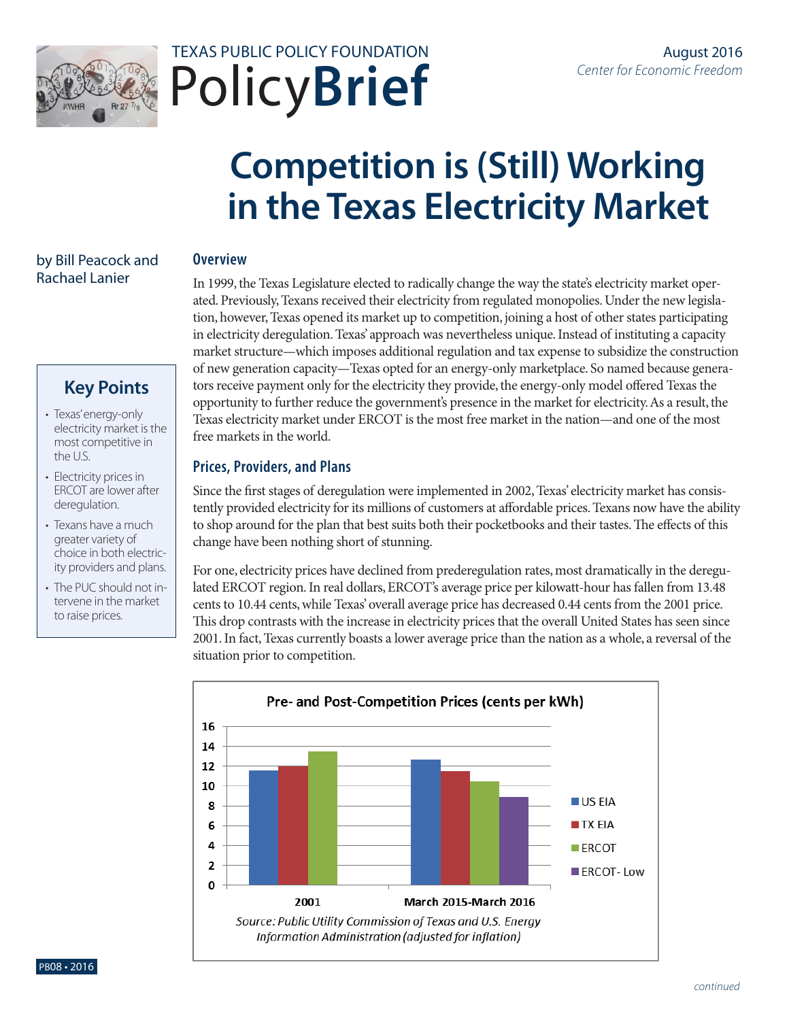



# **Competition is (Still) Working in the Texas Electricity Market**

#### by Bill Peacock and Rachael Lanier

# **Key Points**

- Texas' energy-only electricity market is the most competitive in the U.S.
- Electricity prices in ERCOT are lower after deregulation.
- Texans have a much greater variety of choice in both electricity providers and plans.
- The PUC should not intervene in the market to raise prices.

## **Overview**

In 1999, the Texas Legislature elected to radically change the way the state's electricity market operated. Previously, Texans received their electricity from regulated monopolies. Under the new legislation, however, Texas opened its market up to competition, joining a host of other states participating in electricity deregulation. Texas' approach was nevertheless unique. Instead of instituting a capacity market structure—which imposes additional regulation and tax expense to subsidize the construction of new generation capacity—Texas opted for an energy-only marketplace. So named because generators receive payment only for the electricity they provide, the energy-only model offered Texas the opportunity to further reduce the government's presence in the market for electricity. As a result, the Texas electricity market under ERCOT is the most free market in the nation—and one of the most free markets in the world.

### **Prices, Providers, and Plans**

Since the first stages of deregulation were implemented in 2002, Texas' electricity market has consistently provided electricity for its millions of customers at affordable prices. Texans now have the ability to shop around for the plan that best suits both their pocketbooks and their tastes. The effects of this change have been nothing short of stunning.

For one, electricity prices have declined from prederegulation rates, most dramatically in the deregulated ERCOT region. In real dollars, ERCOT's average price per kilowatt-hour has fallen from 13.48 cents to 10.44 cents, while Texas' overall average price has decreased 0.44 cents from the 2001 price. This drop contrasts with the increase in electricity prices that the overall United States has seen since 2001. In fact, Texas currently boasts a lower average price than the nation as a whole, a reversal of the situation prior to competition.